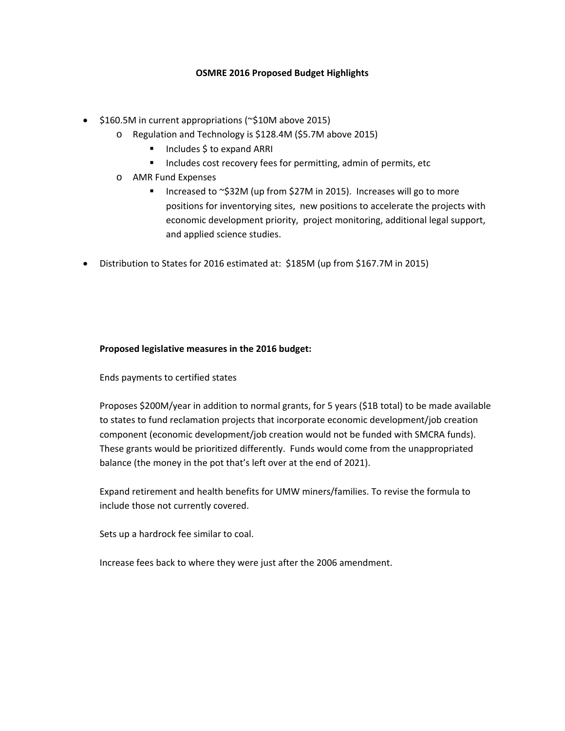## **OSMRE 2016 Proposed Budget Highlights**

- \$160.5M in current appropriations (~\$10M above 2015)
	- o Regulation and Technology is \$128.4M (\$5.7M above 2015)
		- Includes \$ to expand ARRI
		- **Includes cost recovery fees for permitting, admin of permits, etc**
	- o AMR Fund Expenses
		- Increased to ~\$32M (up from \$27M in 2015). Increases will go to more positions for inventorying sites, new positions to accelerate the projects with economic development priority, project monitoring, additional legal support, and applied science studies.
- Distribution to States for 2016 estimated at: \$185M (up from \$167.7M in 2015)

## **Proposed legislative measures in the 2016 budget:**

Ends payments to certified states

Proposes \$200M/year in addition to normal grants, for 5 years (\$1B total) to be made available to states to fund reclamation projects that incorporate economic development/job creation component (economic development/job creation would not be funded with SMCRA funds). These grants would be prioritized differently. Funds would come from the unappropriated balance (the money in the pot that's left over at the end of 2021).

Expand retirement and health benefits for UMW miners/families. To revise the formula to include those not currently covered.

Sets up a hardrock fee similar to coal.

Increase fees back to where they were just after the 2006 amendment.